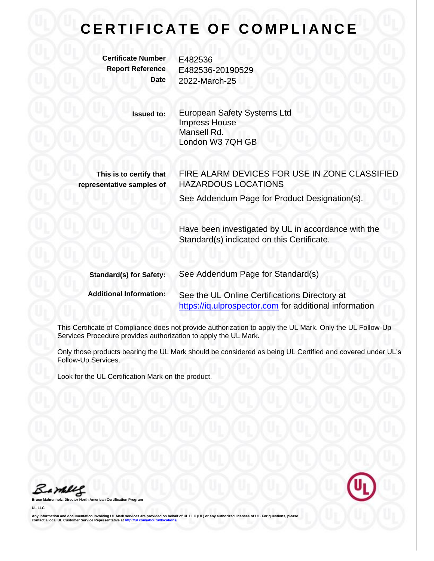**Certificate Number** E482536

**Report Reference** E482536-20190529 **Date** 2022-March-25

> **Issued to:** European Safety Systems Ltd Impress House Mansell Rd. London W3 7QH GB

**This is to certify that representative samples of** FIRE ALARM DEVICES FOR USE IN ZONE CLASSIFIED HAZARDOUS LOCATIONS

See Addendum Page for Product Designation(s).

Have been investigated by UL in accordance with the Standard(s) indicated on this Certificate.

| <b>Standard(s) for Safety:</b> | See Addendum Page for Standard(s)                      |  |
|--------------------------------|--------------------------------------------------------|--|
| <b>Additional Information:</b> | See the UL Online Certifications Directory at          |  |
|                                | https://iq.ulprospector.com for additional information |  |

This Certificate of Compliance does not provide authorization to apply the UL Mark. Only the UL Follow-Up Services Procedure provides authorization to apply the UL Mark.

Only those products bearing the UL Mark should be considered as being UL Certified and covered under UL's Follow-Up Services.

Look for the UL Certification Mark on the product.

Barney

**Broaran** 

**UL LLC**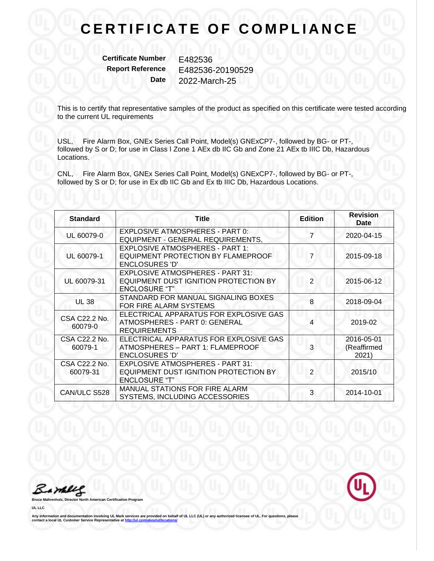**Certificate Number** E482536

**Report Reference** E482536-20190529 **Date** 2022-March-25

This is to certify that representative samples of the product as specified on this certificate were tested according to the current UL requirements

USL, Fire Alarm Box, GNEx Series Call Point, Model(s) GNExCP7-, followed by BG- or PT-, followed by S or D; for use in Class I Zone 1 AEx db IIC Gb and Zone 21 AEx tb IIIC Db, Hazardous Locations.

CNL, Fire Alarm Box, GNEx Series Call Point, Model(s) GNExCP7-, followed by BG- or PT-, followed by S or D; for use in Ex db IIC Gb and Ex tb IIIC Db, Hazardous Locations.

| <b>Standard</b>           | Title                                                                                               | <b>Edition</b> | <b>Revision</b><br><b>Date</b>     |
|---------------------------|-----------------------------------------------------------------------------------------------------|----------------|------------------------------------|
| UL 60079-0                | EXPLOSIVE ATMOSPHERES - PART 0:<br>EQUIPMENT - GENERAL REQUIREMENTS,                                |                | 2020-04-15                         |
| UL 60079-1                | EXPLOSIVE ATMOSPHERES - PART 1:<br>EQUIPMENT PROTECTION BY FLAMEPROOF<br><b>ENCLOSURES 'D'</b>      | 7              | 2015-09-18                         |
| UL 60079-31               | EXPLOSIVE ATMOSPHERES - PART 31:<br>EQUIPMENT DUST IGNITION PROTECTION BY<br><b>ENCLOSURE "T"</b>   | $\overline{2}$ | 2015-06-12                         |
| <b>UL 38</b>              | STANDARD FOR MANUAL SIGNALING BOXES<br>FOR FIRE ALARM SYSTEMS                                       | 8              | 2018-09-04                         |
| CSA C22.2 No.<br>60079-0  | ELECTRICAL APPARATUS FOR EXPLOSIVE GAS<br>ATMOSPHERES - PART 0: GENERAL<br><b>REQUIREMENTS</b>      | 4              | 2019-02                            |
| CSA C22.2 No.<br>60079-1  | ELECTRICAL APPARATUS FOR EXPLOSIVE GAS<br>ATMOSPHERES - PART 1: FLAMEPROOF<br><b>ENCLOSURES 'D'</b> | 3              | 2016-05-01<br>(Reaffirmed<br>2021) |
| CSA C22.2 No.<br>60079-31 | EXPLOSIVE ATMOSPHERES - PART 31:<br>EQUIPMENT DUST IGNITION PROTECTION BY<br><b>ENCLOSURE "T"</b>   | $\overline{2}$ | 2015/10                            |
| CAN/ULC S528              | MANUAL STATIONS FOR FIRE ALARM<br>SYSTEMS, INCLUDING ACCESSORIES                                    | 3              | 2014-10-01                         |

Barbles



**UL LLC**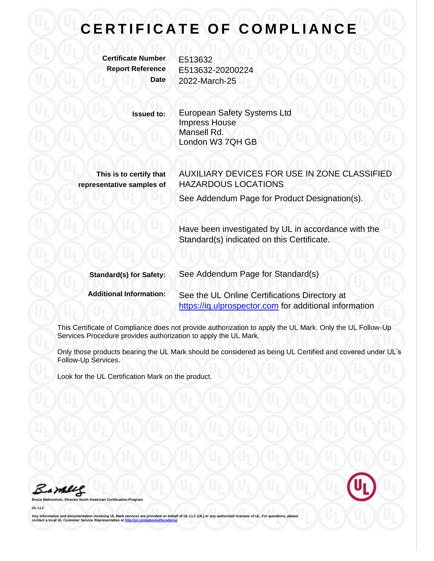**Certificate Number** E513632

**Report Reference** E513632-20200224 **Date** 2022-March-25

> **Issued to:** European Safety Systems Ltd Impress House Mansell Rd. London W3 7QH GB

**This is to certify that representative samples of** AUXILIARY DEVICES FOR USE IN ZONE CLASSIFIED HAZARDOUS LOCATIONS

See Addendum Page for Product Designation(s).

Have been investigated by UL in accordance with the Standard(s) indicated on this Certificate.

| <b>Standard(s) for Safety:</b> | See Addendum Page for Standard(s)                      |  |
|--------------------------------|--------------------------------------------------------|--|
| <b>Additional Information:</b> | See the UL Online Certifications Directory at          |  |
|                                | https://iq.ulprospector.com for additional information |  |

This Certificate of Compliance does not provide authorization to apply the UL Mark. Only the UL Follow-Up Services Procedure provides authorization to apply the UL Mark.

Only those products bearing the UL Mark should be considered as being UL Certified and covered under UL's Follow-Up Services.

Look for the UL Certification Mark on the product.

Barbles

**Broaran** 

**UL LLC**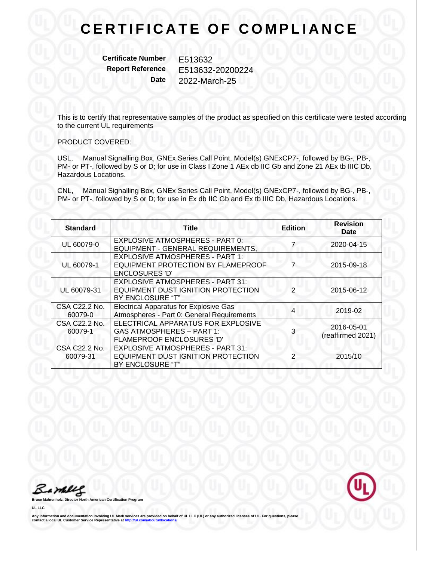**Certificate Number** E513632

**Report Reference** E513632-20200224 **Date** 2022-March-25

This is to certify that representative samples of the product as specified on this certificate were tested according to the current UL requirements

#### PRODUCT COVERED:

USL, Manual Signalling Box, GNEx Series Call Point, Model(s) GNExCP7-, followed by BG-, PB-, PM- or PT-, followed by S or D; for use in Class I Zone 1 AEx db IIC Gb and Zone 21 AEx tb IIIC Db, Hazardous Locations.

CNL, Manual Signalling Box, GNEx Series Call Point, Model(s) GNExCP7-, followed by BG-, PB-, PM- or PT-, followed by S or D; for use in Ex db IIC Gb and Ex tb IIIC Db, Hazardous Locations.

| <b>Standard</b>           | <b>Title</b>                                                                                          | <b>Edition</b> | <b>Revision</b><br>Date         |
|---------------------------|-------------------------------------------------------------------------------------------------------|----------------|---------------------------------|
| UL 60079-0                | <b>EXPLOSIVE ATMOSPHERES - PART 0:</b><br>EQUIPMENT - GENERAL REQUIREMENTS,                           |                | 2020-04-15                      |
| UL 60079-1                | <b>EXPLOSIVE ATMOSPHERES - PART 1:</b><br>EQUIPMENT PROTECTION BY FLAMEPROOF<br><b>ENCLOSURES 'D'</b> |                | 2015-09-18                      |
| UL 60079-31               | <b>EXPLOSIVE ATMOSPHERES - PART 31:</b><br>EQUIPMENT DUST IGNITION PROTECTION<br>BY ENCLOSURE "T"     | 2              | 2015-06-12                      |
| CSA C22.2 No.<br>60079-0  | <b>Electrical Apparatus for Explosive Gas</b><br>Atmospheres - Part 0: General Requirements           | 4              | 2019-02                         |
| CSA C22.2 No.<br>60079-1  | ELECTRICAL APPARATUS FOR EXPLOSIVE<br><b>GAS ATMOSPHERES - PART 1:</b><br>FLAMEPROOF ENCLOSURES 'D'   |                | 2016-05-01<br>(reaffirmed 2021) |
| CSA C22.2 No.<br>60079-31 | <b>EXPLOSIVE ATMOSPHERES - PART 31:</b><br>EQUIPMENT DUST IGNITION PROTECTION<br>BY ENCLOSURE "T"     |                | 2015/10                         |

Barbles



**UL LLC**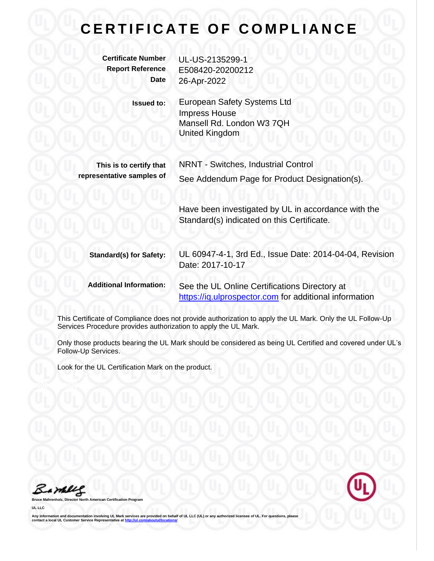**Certificate Number** UL-US-2135299-1 **Report Reference** E508420-20200212 **Date** 26-Apr-2022 **Issued to:** European Safety Systems Ltd Impress House Mansell Rd. London W3 7QH United Kingdom **This is to certify that representative samples of** NRNT - Switches, Industrial Control See Addendum Page for Product Designation(s). Have been investigated by UL in accordance with the Standard(s) indicated on this Certificate. **Standard(s) for Safety:** UL 60947-4-1, 3rd Ed., Issue Date: 2014-04-04, Revision Date: 2017-10-17 **Additional Information:** See the UL Online Certifications Directory at [https://iq.ulprospector.com](https://iq.ulprospector.com/) for additional information

This Certificate of Compliance does not provide authorization to apply the UL Mark. Only the UL Follow-Up Services Procedure provides authorization to apply the UL Mark.

Only those products bearing the UL Mark should be considered as being UL Certified and covered under UL's Follow-Up Services.

Look for the UL Certification Mark on the product.

Bamelle

**Broard** 

**UL LLC**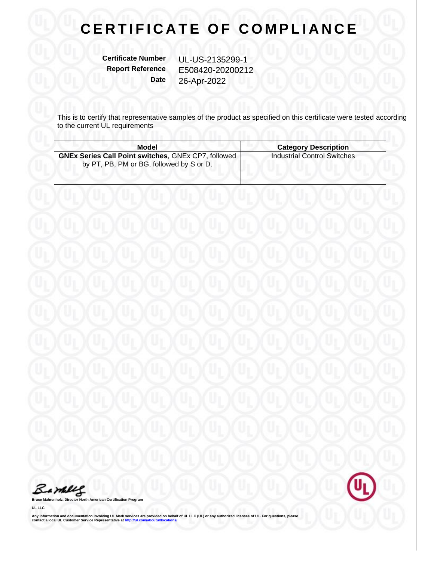**Certificate Number** UL-US-2135299-1

**Report Reference** E508420-20200212 **Date** 26-Apr-2022

This is to certify that representative samples of the product as specified on this certificate were tested according to the current UL requirements

| Model                                                                                                  | <b>Category Description</b>        |
|--------------------------------------------------------------------------------------------------------|------------------------------------|
| <b>GNEx Series Call Point switches, GNEx CP7, followed</b><br>by PT, PB, PM or BG, followed by S or D. | <b>Industrial Control Switches</b> |

Barbles



**UL LLC**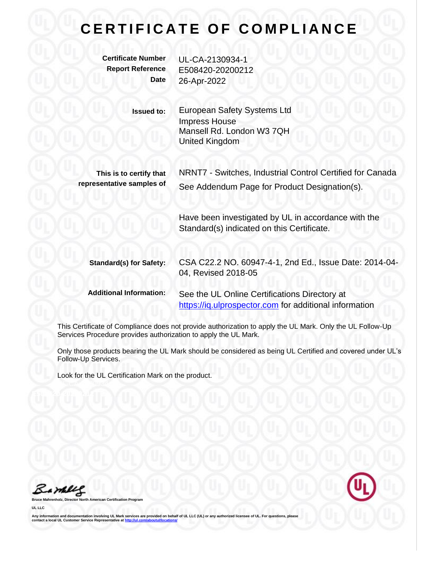**Certificate Number** UL-CA-2130934-1

**Report Reference** E508420-20200212 **Date** 26-Apr-2022

> **Issued to:** European Safety Systems Ltd Impress House Mansell Rd. London W3 7QH United Kingdom

**This is to certify that representative samples of**

NRNT7 - Switches, Industrial Control Certified for Canada See Addendum Page for Product Designation(s).

Have been investigated by UL in accordance with the Standard(s) indicated on this Certificate.

**Standard(s) for Safety:** CSA C22.2 NO. 60947-4-1, 2nd Ed., Issue Date: 2014-04- 04, Revised 2018-05

**Additional Information:** See the UL Online Certifications Directory at [https://iq.ulprospector.com](https://iq.ulprospector.com/) for additional information

This Certificate of Compliance does not provide authorization to apply the UL Mark. Only the UL Follow-Up Services Procedure provides authorization to apply the UL Mark.

Only those products bearing the UL Mark should be considered as being UL Certified and covered under UL's Follow-Up Services.

Look for the UL Certification Mark on the product.

Barney

**Bruce Mahrenholz, Director North American Certification Program**

**UL LLC**